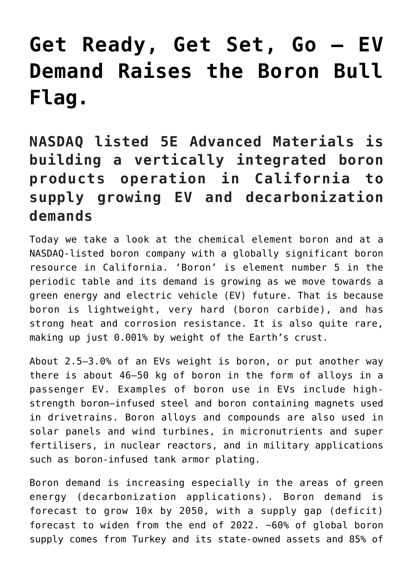# **[Get Ready, Get Set, Go – EV](https://investorintel.com/markets/technology-metals/technology-metals-intel/get-ready-get-set-go-ev-demand-raises-the-boron-bull-flag/) [Demand Raises the Boron Bull](https://investorintel.com/markets/technology-metals/technology-metals-intel/get-ready-get-set-go-ev-demand-raises-the-boron-bull-flag/) [Flag.](https://investorintel.com/markets/technology-metals/technology-metals-intel/get-ready-get-set-go-ev-demand-raises-the-boron-bull-flag/)**

**NASDAQ listed 5E Advanced Materials is building a vertically integrated boron products operation in California to supply growing EV and decarbonization demands**

Today we take a look at the chemical element boron and at a NASDAQ-listed boron company with a globally significant boron resource in California. 'Boron' is element number 5 in the periodic table and its demand is growing as we move towards a green energy and electric vehicle (EV) future. That is because boron is lightweight, very hard (boron carbide), and has strong heat and corrosion resistance. It is also quite rare, making up just [0.001%](https://en.wikipedia.org/wiki/Boron) by weight of the Earth's crust.

About 2.5–3.0% of an EVs [weight is boron,](https://5eadvancedmaterials.com/wp-content/uploads/BairdVechicleTechnologyAndMobilityConferencePresentation25Jan22.pdf) or put another way there is about 46–50 kg of boron in the form of alloys in a passenger EV. Examples of boron use in EVs include highstrength boron–infused steel and boron containing magnets used in drivetrains. Boron alloys and compounds are also used in solar panels and wind turbines, in micronutrients and super fertilisers, in nuclear reactors, and in military applications such as boron-infused tank armor plating.

Boron demand is increasing especially in the areas of green energy (decarbonization applications). Boron demand is forecast to grow 10x by 2050, with a supply gap (deficit) forecast to widen from the end of 2022. [~60%](https://5eadvancedmaterials.com/wp-content/uploads/BairdVechicleTechnologyAndMobilityConferencePresentation25Jan22.pdf) of global boron supply comes from Turkey and its state-owned assets and 85% of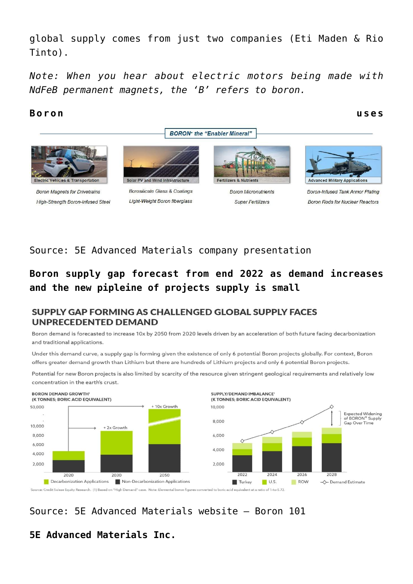global supply comes from just two companies (Eti Maden & Rio Tinto).

*Note: When you hear about electric motors being made with NdFeB permanent magnets, the 'B' refers to boron.*

#### **Boron uses**

**BORON**<sup>+</sup> the "Enabler Mineral"



**High-Strength Boron-Infused Steel** 

**Light-Weight Boron fiberglass** 

# **Super Fertilizers**



## Source: [5E Advanced Materials company presentation](https://5eadvancedmaterials.com/wp-content/uploads/BairdVechicleTechnologyAndMobilityConferencePresentation25Jan22.pdf)

# **Boron supply gap forecast from end 2022 as demand increases and the new pipleine of projects supply is small**

#### SUPPLY GAP FORMING AS CHALLENGED GLOBAL SUPPLY FACES **UNPRECEDENTED DEMAND**

Boron demand is forecasted to increase 10x by 2050 from 2020 levels driven by an acceleration of both future facing decarbonization and traditional applications.

Under this demand curve, a supply gap is forming given the existence of only 6 potential Boron projects globally. For context, Boron offers greater demand growth than Lithium but there are hundreds of Lithium projects and only 6 potential Boron projects.

Potential for new Boron projects is also limited by scarcity of the resource given stringent geological requirements and relatively low concentration in the earth's crust.



# Source: [5E Advanced Materials website – Boron 101](https://5eadvancedmaterials.com/boron-101/)

# **5E Advanced Materials Inc.**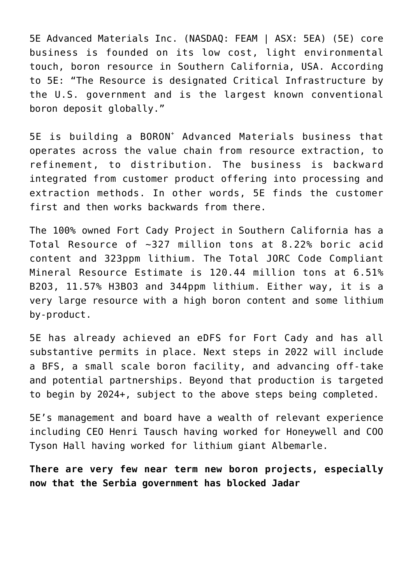5E Advanced Materials Inc. (NASDAQ: FEAM | ASX: 5EA) (5E) core business is founded on its low cost, light environmental touch, boron resource in Southern California, USA. [According](https://5eadvancedmaterials.com/about/who-we-are/) [to](https://5eadvancedmaterials.com/about/who-we-are/) 5E: "The Resource is designated Critical Infrastructure by the U.S. government and is the largest known conventional boron deposit globally."

5E is building a BORON<sup>+</sup> Advanced Materials business that operates across the value chain from resource extraction, to refinement, to distribution. The business is backward integrated from customer product offering into processing and extraction methods. In other words, 5E finds the customer first and then works backwards from there.

The 100% owned Fort Cady Project in Southern California has a Total Resource of [~327 million tons at 8.22% boric acid](https://5eadvancedmaterials.com/wp-content/uploads/BairdVechicleTechnologyAndMobilityConferencePresentation25Jan22.pdf) [content](https://5eadvancedmaterials.com/wp-content/uploads/BairdVechicleTechnologyAndMobilityConferencePresentation25Jan22.pdf) and 323ppm lithium. The Total JORC Code Compliant Mineral Resource Estimate is [120.44 million tons at 6.51%](https://investorintel.com/wp-admin/post.php?post=169412&action=edit) [B2O3, 11.57% H3BO3](https://investorintel.com/wp-admin/post.php?post=169412&action=edit) and 344ppm lithium. Either way, it is a very large resource with a high boron content and some lithium by-product.

5E has already achieved an eDFS for Fort Cady and has all substantive permits in place. Next steps in 2022 will include a BFS, a small scale boron facility, and advancing off-take and potential partnerships. Beyond that production is targeted to begin by 2024+, subject to the above steps being completed.

5E's [management and board](https://5eadvancedmaterials.com/about/team/#management-team) have a wealth of relevant experience including CEO Henri Tausch having worked for Honeywell and COO Tyson Hall having worked for lithium giant Albemarle.

**There are very few near term new boron projects, especially now that the Serbia government has blocked Jadar**